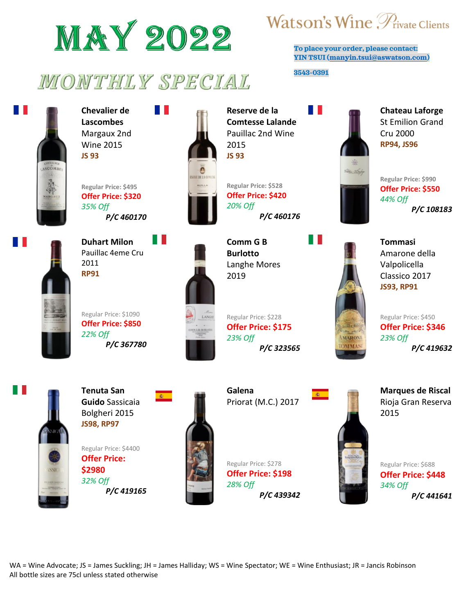

## MONTHLY SPECIAL



H.

**Chevalier de Lascombes** Margaux 2nd Wine 2015 **JS 93**

**Regular Price: \$495 Offer Price: \$320** *35% Off P/C 460170*



**Duhart Milon** Pauillac 4eme Cru 2011 **RP91**

Regular Price: \$1090 **Offer Price: \$850** *22% Off P/C 367780*



**Reserve de la Comtesse Lalande** Pauillac 2nd Wine 2015 **JS 93**

**Regular Price: \$528 Offer Price: \$420** *20% Off P/C 460176*

**Comm G B Burlotto** Langhe Mores 2019

Regular Price: \$228 **Offer Price: \$175** *23% Off P/C 323565*



**To place your order, please contact: YIN TSUI [\(manyin.tsui@aswatson.com\)](mailto:manyin.tsui@aswatson.com)**

**3543-0391**

a ka



**Chateau Laforge** St Emilion Grand Cru 2000 **RP94, JS96**



**Regular Price: \$990 Offer Price: \$550** *44% Off P/C 108183*



**Tommasi** Amarone della Valpolicella Classico 2017 **JS93, RP91**

Regular Price: \$450 **Offer Price: \$346** *23% Off P/C 419632*



**Tenuta San Guido** Sassicaia Bolgheri 2015 **JS98, RP97**

Regular Price: \$4400 **Offer Price: \$2980** *32% Off P/C 419165*



**Galena**  Priorat (M.C.) 2017

Regular Price: \$278 **Offer Price: \$198**

*P/C 439342*

*28% Off*



**Marques de Riscal**  Rioja Gran Reserva 2015



WA = Wine Advocate; JS = James Suckling; JH = James Halliday; WS = Wine Spectator; WE = Wine Enthusiast; JR = Jancis Robinson All bottle sizes are 75cl unless stated otherwise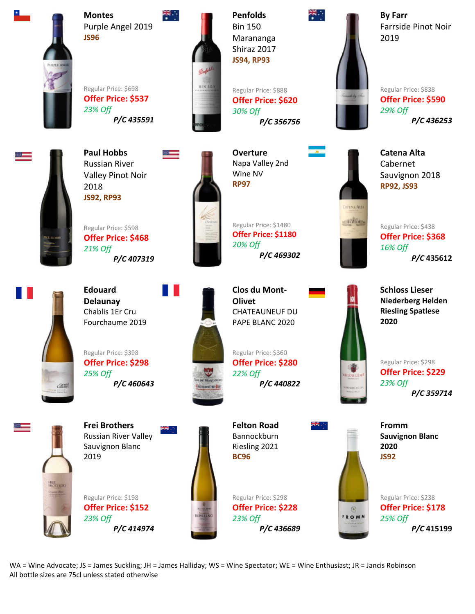

**Montes** Purple Angel 2019 **JS96**

Regular Price: \$698 **Offer Price: \$537** *23% Off P/C 435591*



**Penfolds**  Bin 150 Marananga Shiraz 2017 **JS94, RP93**

Regular Price: \$888 **Offer Price: \$620** *30% Off P/C 356756*



**By Farr** Farrside Pinot Noir 2019

Regular Price: \$838 **Offer Price: \$590** *29% Off P/C 436253*

**Catena Alta** Cabernet

Sauvignon 2018 **RP92, JS93**



**Paul Hobbs** Russian River Valley Pinot Noir 2018 **JS92, RP93**

Regular Price: \$598 **Offer Price: \$468** *21% Off P/C 407319*



**Overture** Napa Valley 2nd Wine NV **RP97**

Regular Price: \$1480 **Offer Price: \$1180** *20% Off P/C 469302*

Crane

**Edouard Delaunay** Chablis 1Er Cru Fourchaume 2019

Regular Price: \$398 **Offer Price: \$298** *25% Off P/C 460643*



**Clos du Mont-Olivet** CHATEAUNEUF DU PAPE BLANC 2020

Regular Price: \$360 **Offer Price: \$280** *22% Off P/C 440822*

**Felton Road** Bannockburn Riesling 2021 **BC96**

Regular Price: \$298 *23% Off*



**Fromm Sauvignon Blanc 2020 JS92**

 $\circledR$ FROMM Regular Price: \$238 **Offer Price: \$178** *25% Off P/C* **415199**

CATENA ALTA anificane *16% Off*

Regular Price: \$438 **Offer Price: \$368** *P/C* **435612**

**Schloss Lieser Niederberg Helden Riesling Spatlese 2020**

Regular Price: \$298 **Offer Price: \$229** *23% Off*

*P/C 359714*

**Frei Brothers** Russian River Valley Sauvignon Blanc 2019

Regular Price: \$198 **Offer Price: \$152** *23% Off P/C 414974*



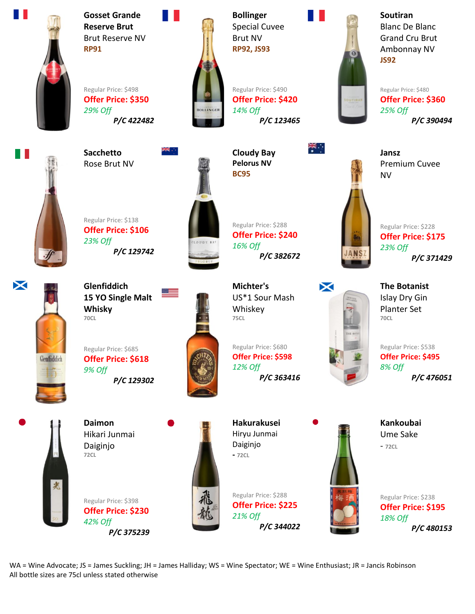

Ш

**Gosset Grande Reserve Brut** Brut Reserve NV **RP91**

Regular Price: \$498 **Offer Price: \$350** *29% Off P/C 422482*

**Sacchetto** Rose Brut NV



**Bollinger** Special Cuvee Brut NV **RP92, JS93**

Regular Price: \$490 **Offer Price: \$420** *14% Off P/C 123465*

 **Cloudy Bay Pelorus NV**

**BC95**

Regular Price: \$288 **Offer Price: \$240**

*P/C 382672*

*16% Off*

**Soutiran** Blanc De Blanc Grand Cru Brut Ambonnay NV **JS92**

Regular Price: \$480 **Offer Price: \$360** *25% Off P/C 390494*

**Jansz** Premium Cuvee NV



 $\ddot{\mathbf{r}}$ 

Regular Price: \$228 **Offer Price: \$175** *23% Off P/C 371429*



**Glenfiddich 15 YO Single Malt Whisky 70CL**

*P/C 129742*

Regular Price: \$138 **Offer Price: \$106**

*23% Off*

Regular Price: \$685 **Offer Price: \$618** *9% Off P/C 129302*



**Michter's** US\*1 Sour Mash Whiskey **75CL**

Regular Price: \$680 **Offer Price: \$598** *12% Off P/C 363416*



**The Botanist** Islay Dry Gin Planter Set **70CL**

Regular Price: \$538 **Offer Price: \$495** *8% Off P/C 476051*

**Kankoubai** Ume Sake

- **72CL**

**72CL**

**Daimon** Hikari Junmai Daiginjo

Regular Price: \$398 **Offer Price: \$230** *42% Off P/C 375239*



**Hakurakusei** Hiryu Junmai Daiginjo **- 72CL**

Regular Price: \$288 **Offer Price: \$225** *21% Off P/C 344022*



Regular Price: \$238 **Offer Price: \$195** *18% Off P/C 480153*

WA = Wine Advocate; JS = James Suckling; JH = James Halliday; WS = Wine Spectator; WE = Wine Enthusiast; JR = Jancis Robinson All bottle sizes are 75cl unless stated otherwise